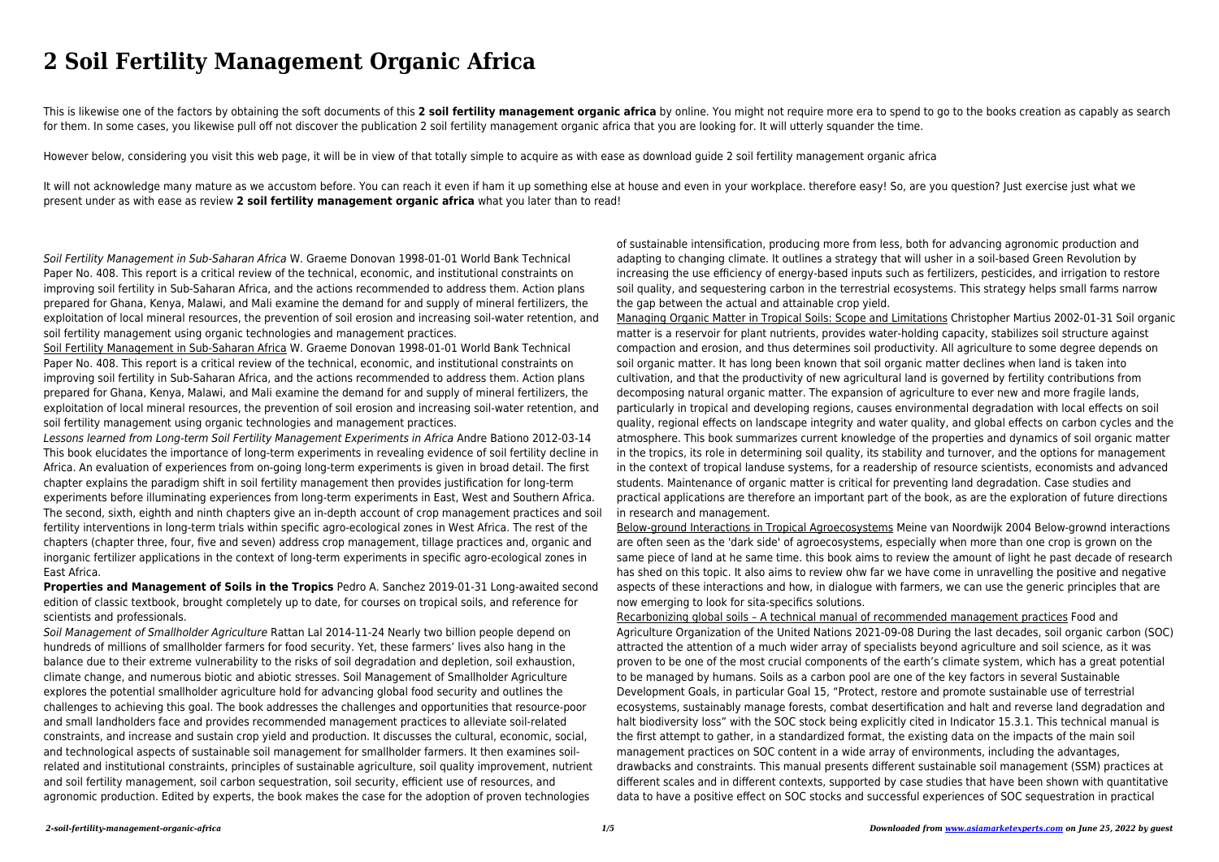# **2 Soil Fertility Management Organic Africa**

This is likewise one of the factors by obtaining the soft documents of this 2 soil fertility management organic africa by online. You might not require more era to spend to go to the books creation as capably as search for them. In some cases, you likewise pull off not discover the publication 2 soil fertility management organic africa that you are looking for. It will utterly squander the time.

It will not acknowledge many mature as we accustom before. You can reach it even if ham it up something else at house and even in your workplace. therefore easy! So, are you question? Just exercise just what we present under as with ease as review **2 soil fertility management organic africa** what you later than to read!

However below, considering you visit this web page, it will be in view of that totally simple to acquire as with ease as download guide 2 soil fertility management organic africa

Soil Fertility Management in Sub-Saharan Africa W. Graeme Donovan 1998-01-01 World Bank Technical Paper No. 408. This report is a critical review of the technical, economic, and institutional constraints on improving soil fertility in Sub-Saharan Africa, and the actions recommended to address them. Action plans prepared for Ghana, Kenya, Malawi, and Mali examine the demand for and supply of mineral fertilizers, the exploitation of local mineral resources, the prevention of soil erosion and increasing soil-water retention, and soil fertility management using organic technologies and management practices.

Soil Fertility Management in Sub-Saharan Africa W. Graeme Donovan 1998-01-01 World Bank Technical Paper No. 408. This report is a critical review of the technical, economic, and institutional constraints on improving soil fertility in Sub-Saharan Africa, and the actions recommended to address them. Action plans prepared for Ghana, Kenya, Malawi, and Mali examine the demand for and supply of mineral fertilizers, the exploitation of local mineral resources, the prevention of soil erosion and increasing soil-water retention, and soil fertility management using organic technologies and management practices.

Lessons learned from Long-term Soil Fertility Management Experiments in Africa Andre Bationo 2012-03-14 This book elucidates the importance of long-term experiments in revealing evidence of soil fertility decline in Africa. An evaluation of experiences from on-going long-term experiments is given in broad detail. The first chapter explains the paradigm shift in soil fertility management then provides justification for long-term experiments before illuminating experiences from long-term experiments in East, West and Southern Africa. The second, sixth, eighth and ninth chapters give an in-depth account of crop management practices and soil fertility interventions in long-term trials within specific agro-ecological zones in West Africa. The rest of the chapters (chapter three, four, five and seven) address crop management, tillage practices and, organic and inorganic fertilizer applications in the context of long-term experiments in specific agro-ecological zones in East Africa.

**Properties and Management of Soils in the Tropics** Pedro A. Sanchez 2019-01-31 Long-awaited second edition of classic textbook, brought completely up to date, for courses on tropical soils, and reference for scientists and professionals.

Soil Management of Smallholder Agriculture Rattan Lal 2014-11-24 Nearly two billion people depend on hundreds of millions of smallholder farmers for food security. Yet, these farmers' lives also hang in the balance due to their extreme vulnerability to the risks of soil degradation and depletion, soil exhaustion, climate change, and numerous biotic and abiotic stresses. Soil Management of Smallholder Agriculture explores the potential smallholder agriculture hold for advancing global food security and outlines the challenges to achieving this goal. The book addresses the challenges and opportunities that resource-poor and small landholders face and provides recommended management practices to alleviate soil-related constraints, and increase and sustain crop yield and production. It discusses the cultural, economic, social, and technological aspects of sustainable soil management for smallholder farmers. It then examines soilrelated and institutional constraints, principles of sustainable agriculture, soil quality improvement, nutrient and soil fertility management, soil carbon sequestration, soil security, efficient use of resources, and agronomic production. Edited by experts, the book makes the case for the adoption of proven technologies

of sustainable intensification, producing more from less, both for advancing agronomic production and adapting to changing climate. It outlines a strategy that will usher in a soil-based Green Revolution by increasing the use efficiency of energy-based inputs such as fertilizers, pesticides, and irrigation to restore soil quality, and sequestering carbon in the terrestrial ecosystems. This strategy helps small farms narrow the gap between the actual and attainable crop yield. Managing Organic Matter in Tropical Soils: Scope and Limitations Christopher Martius 2002-01-31 Soil organic matter is a reservoir for plant nutrients, provides water-holding capacity, stabilizes soil structure against compaction and erosion, and thus determines soil productivity. All agriculture to some degree depends on soil organic matter. It has long been known that soil organic matter declines when land is taken into cultivation, and that the productivity of new agricultural land is governed by fertility contributions from decomposing natural organic matter. The expansion of agriculture to ever new and more fragile lands, particularly in tropical and developing regions, causes environmental degradation with local effects on soil quality, regional effects on landscape integrity and water quality, and global effects on carbon cycles and the atmosphere. This book summarizes current knowledge of the properties and dynamics of soil organic matter in the tropics, its role in determining soil quality, its stability and turnover, and the options for management in the context of tropical landuse systems, for a readership of resource scientists, economists and advanced students. Maintenance of organic matter is critical for preventing land degradation. Case studies and practical applications are therefore an important part of the book, as are the exploration of future directions in research and management.

Below-ground Interactions in Tropical Agroecosystems Meine van Noordwijk 2004 Below-grownd interactions are often seen as the 'dark side' of agroecosystems, especially when more than one crop is grown on the same piece of land at he same time. this book aims to review the amount of light he past decade of research has shed on this topic. It also aims to review ohw far we have come in unravelling the positive and negative aspects of these interactions and how, in dialogue with farmers, we can use the generic principles that are now emerging to look for sita-specifics solutions.

Recarbonizing global soils – A technical manual of recommended management practices Food and Agriculture Organization of the United Nations 2021-09-08 During the last decades, soil organic carbon (SOC) attracted the attention of a much wider array of specialists beyond agriculture and soil science, as it was proven to be one of the most crucial components of the earth's climate system, which has a great potential to be managed by humans. Soils as a carbon pool are one of the key factors in several Sustainable Development Goals, in particular Goal 15, "Protect, restore and promote sustainable use of terrestrial ecosystems, sustainably manage forests, combat desertification and halt and reverse land degradation and halt biodiversity loss" with the SOC stock being explicitly cited in Indicator 15.3.1. This technical manual is the first attempt to gather, in a standardized format, the existing data on the impacts of the main soil management practices on SOC content in a wide array of environments, including the advantages, drawbacks and constraints. This manual presents different sustainable soil management (SSM) practices at different scales and in different contexts, supported by case studies that have been shown with quantitative data to have a positive effect on SOC stocks and successful experiences of SOC sequestration in practical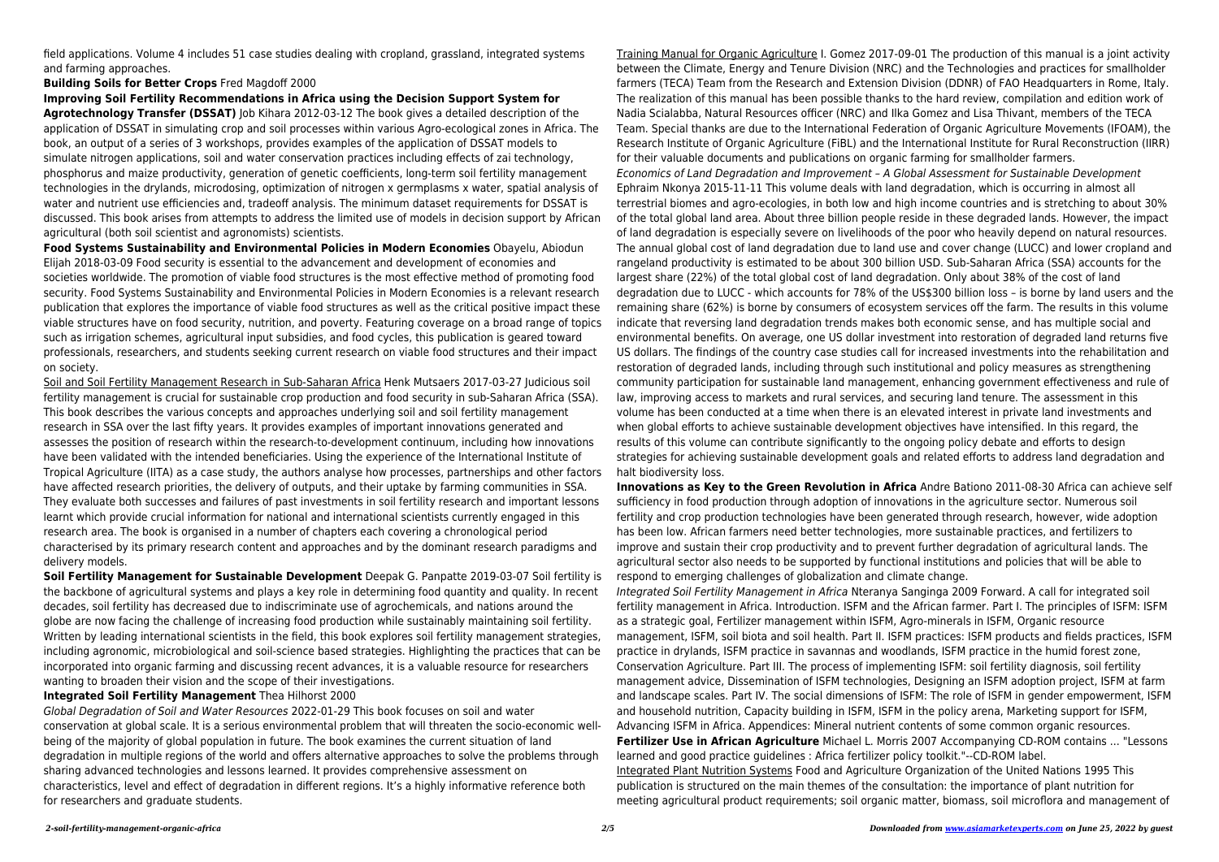field applications. Volume 4 includes 51 case studies dealing with cropland, grassland, integrated systems and farming approaches.

# **Building Soils for Better Crops** Fred Magdoff 2000

**Improving Soil Fertility Recommendations in Africa using the Decision Support System for**

**Agrotechnology Transfer (DSSAT)** Job Kihara 2012-03-12 The book gives a detailed description of the application of DSSAT in simulating crop and soil processes within various Agro-ecological zones in Africa. The book, an output of a series of 3 workshops, provides examples of the application of DSSAT models to simulate nitrogen applications, soil and water conservation practices including effects of zai technology, phosphorus and maize productivity, generation of genetic coefficients, long-term soil fertility management technologies in the drylands, microdosing, optimization of nitrogen x germplasms x water, spatial analysis of water and nutrient use efficiencies and, tradeoff analysis. The minimum dataset requirements for DSSAT is discussed. This book arises from attempts to address the limited use of models in decision support by African agricultural (both soil scientist and agronomists) scientists.

**Food Systems Sustainability and Environmental Policies in Modern Economies** Obayelu, Abiodun Elijah 2018-03-09 Food security is essential to the advancement and development of economies and societies worldwide. The promotion of viable food structures is the most effective method of promoting food security. Food Systems Sustainability and Environmental Policies in Modern Economies is a relevant research publication that explores the importance of viable food structures as well as the critical positive impact these viable structures have on food security, nutrition, and poverty. Featuring coverage on a broad range of topics such as irrigation schemes, agricultural input subsidies, and food cycles, this publication is geared toward professionals, researchers, and students seeking current research on viable food structures and their impact on society.

Soil and Soil Fertility Management Research in Sub-Saharan Africa Henk Mutsaers 2017-03-27 Judicious soil fertility management is crucial for sustainable crop production and food security in sub-Saharan Africa (SSA). This book describes the various concepts and approaches underlying soil and soil fertility management research in SSA over the last fifty years. It provides examples of important innovations generated and assesses the position of research within the research-to-development continuum, including how innovations have been validated with the intended beneficiaries. Using the experience of the International Institute of Tropical Agriculture (IITA) as a case study, the authors analyse how processes, partnerships and other factors have affected research priorities, the delivery of outputs, and their uptake by farming communities in SSA. They evaluate both successes and failures of past investments in soil fertility research and important lessons learnt which provide crucial information for national and international scientists currently engaged in this research area. The book is organised in a number of chapters each covering a chronological period characterised by its primary research content and approaches and by the dominant research paradigms and delivery models.

**Soil Fertility Management for Sustainable Development** Deepak G. Panpatte 2019-03-07 Soil fertility is the backbone of agricultural systems and plays a key role in determining food quantity and quality. In recent decades, soil fertility has decreased due to indiscriminate use of agrochemicals, and nations around the globe are now facing the challenge of increasing food production while sustainably maintaining soil fertility. Written by leading international scientists in the field, this book explores soil fertility management strategies, including agronomic, microbiological and soil-science based strategies. Highlighting the practices that can be incorporated into organic farming and discussing recent advances, it is a valuable resource for researchers wanting to broaden their vision and the scope of their investigations.

### **Integrated Soil Fertility Management** Thea Hilhorst 2000

Global Degradation of Soil and Water Resources 2022-01-29 This book focuses on soil and water conservation at global scale. It is a serious environmental problem that will threaten the socio-economic wellbeing of the majority of global population in future. The book examines the current situation of land degradation in multiple regions of the world and offers alternative approaches to solve the problems through sharing advanced technologies and lessons learned. It provides comprehensive assessment on characteristics, level and effect of degradation in different regions. It's a highly informative reference both for researchers and graduate students.

Training Manual for Organic Agriculture I. Gomez 2017-09-01 The production of this manual is a joint activity between the Climate, Energy and Tenure Division (NRC) and the Technologies and practices for smallholder farmers (TECA) Team from the Research and Extension Division (DDNR) of FAO Headquarters in Rome, Italy. The realization of this manual has been possible thanks to the hard review, compilation and edition work of Nadia Scialabba, Natural Resources officer (NRC) and Ilka Gomez and Lisa Thivant, members of the TECA Team. Special thanks are due to the International Federation of Organic Agriculture Movements (IFOAM), the Research Institute of Organic Agriculture (FiBL) and the International Institute for Rural Reconstruction (IIRR) for their valuable documents and publications on organic farming for smallholder farmers. Economics of Land Degradation and Improvement – A Global Assessment for Sustainable Development Ephraim Nkonya 2015-11-11 This volume deals with land degradation, which is occurring in almost all terrestrial biomes and agro-ecologies, in both low and high income countries and is stretching to about 30% of the total global land area. About three billion people reside in these degraded lands. However, the impact of land degradation is especially severe on livelihoods of the poor who heavily depend on natural resources. The annual global cost of land degradation due to land use and cover change (LUCC) and lower cropland and rangeland productivity is estimated to be about 300 billion USD. Sub-Saharan Africa (SSA) accounts for the largest share (22%) of the total global cost of land degradation. Only about 38% of the cost of land degradation due to LUCC - which accounts for 78% of the US\$300 billion loss – is borne by land users and the remaining share (62%) is borne by consumers of ecosystem services off the farm. The results in this volume indicate that reversing land degradation trends makes both economic sense, and has multiple social and environmental benefits. On average, one US dollar investment into restoration of degraded land returns five US dollars. The findings of the country case studies call for increased investments into the rehabilitation and restoration of degraded lands, including through such institutional and policy measures as strengthening community participation for sustainable land management, enhancing government effectiveness and rule of law, improving access to markets and rural services, and securing land tenure. The assessment in this volume has been conducted at a time when there is an elevated interest in private land investments and when global efforts to achieve sustainable development objectives have intensified. In this regard, the results of this volume can contribute significantly to the ongoing policy debate and efforts to design strategies for achieving sustainable development goals and related efforts to address land degradation and halt biodiversity loss.

**Innovations as Key to the Green Revolution in Africa** Andre Bationo 2011-08-30 Africa can achieve self sufficiency in food production through adoption of innovations in the agriculture sector. Numerous soil fertility and crop production technologies have been generated through research, however, wide adoption has been low. African farmers need better technologies, more sustainable practices, and fertilizers to improve and sustain their crop productivity and to prevent further degradation of agricultural lands. The agricultural sector also needs to be supported by functional institutions and policies that will be able to respond to emerging challenges of globalization and climate change. Integrated Soil Fertility Management in Africa Nteranya Sanginga 2009 Forward. A call for integrated soil fertility management in Africa. Introduction. ISFM and the African farmer. Part I. The principles of ISFM: ISFM as a strategic goal, Fertilizer management within ISFM, Agro-minerals in ISFM, Organic resource management, ISFM, soil biota and soil health. Part II. ISFM practices: ISFM products and fields practices, ISFM practice in drylands, ISFM practice in savannas and woodlands, ISFM practice in the humid forest zone, Conservation Agriculture. Part III. The process of implementing ISFM: soil fertility diagnosis, soil fertility management advice, Dissemination of ISFM technologies, Designing an ISFM adoption project, ISFM at farm and landscape scales. Part IV. The social dimensions of ISFM: The role of ISFM in gender empowerment, ISFM and household nutrition, Capacity building in ISFM, ISFM in the policy arena, Marketing support for ISFM, Advancing ISFM in Africa. Appendices: Mineral nutrient contents of some common organic resources. **Fertilizer Use in African Agriculture** Michael L. Morris 2007 Accompanying CD-ROM contains ... "Lessons learned and good practice guidelines : Africa fertilizer policy toolkit."--CD-ROM label. Integrated Plant Nutrition Systems Food and Agriculture Organization of the United Nations 1995 This publication is structured on the main themes of the consultation: the importance of plant nutrition for meeting agricultural product requirements; soil organic matter, biomass, soil microflora and management of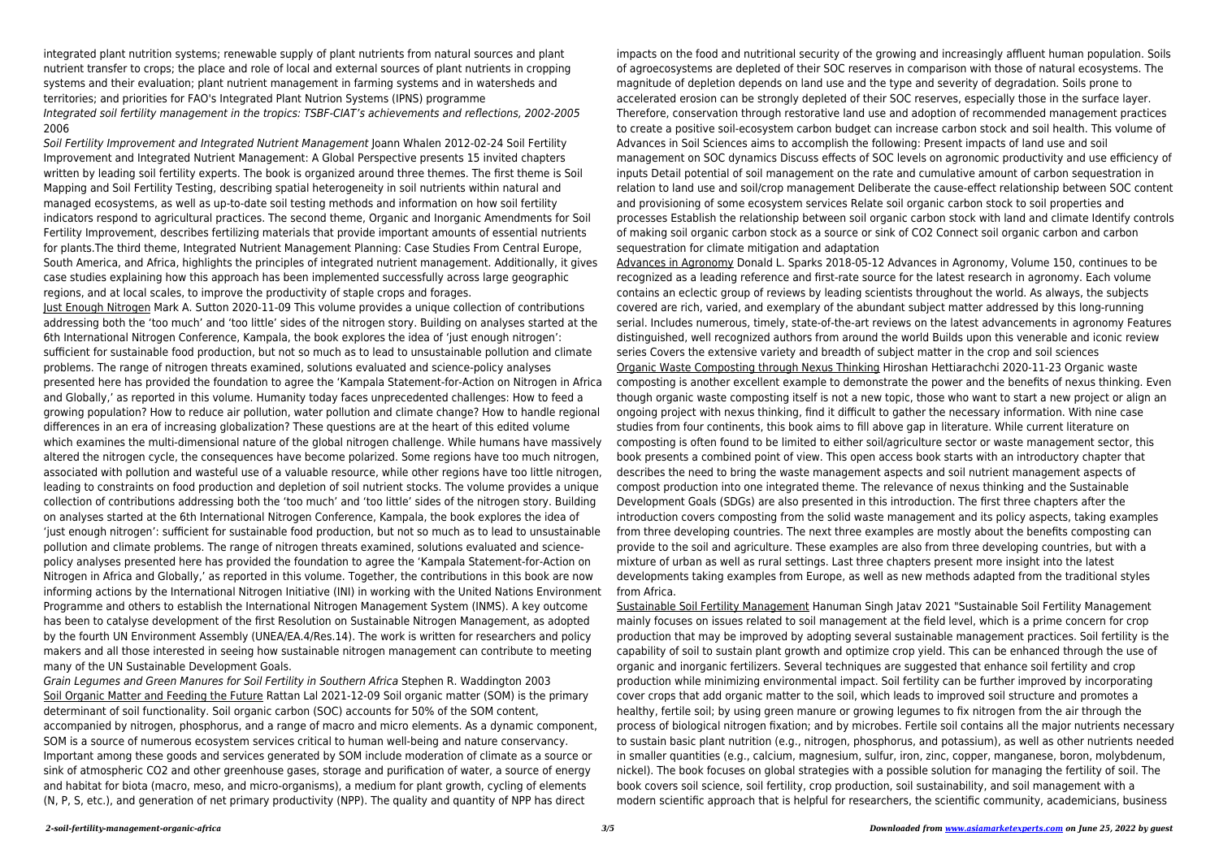integrated plant nutrition systems; renewable supply of plant nutrients from natural sources and plant nutrient transfer to crops; the place and role of local and external sources of plant nutrients in cropping systems and their evaluation; plant nutrient management in farming systems and in watersheds and territories; and priorities for FAO's Integrated Plant Nutrion Systems (IPNS) programme Integrated soil fertility management in the tropics: TSBF-CIAT's achievements and reflections, 2002-2005 2006

Soil Fertility Improvement and Integrated Nutrient Management Joann Whalen 2012-02-24 Soil Fertility Improvement and Integrated Nutrient Management: A Global Perspective presents 15 invited chapters written by leading soil fertility experts. The book is organized around three themes. The first theme is Soil Mapping and Soil Fertility Testing, describing spatial heterogeneity in soil nutrients within natural and managed ecosystems, as well as up-to-date soil testing methods and information on how soil fertility indicators respond to agricultural practices. The second theme, Organic and Inorganic Amendments for Soil Fertility Improvement, describes fertilizing materials that provide important amounts of essential nutrients for plants.The third theme, Integrated Nutrient Management Planning: Case Studies From Central Europe, South America, and Africa, highlights the principles of integrated nutrient management. Additionally, it gives case studies explaining how this approach has been implemented successfully across large geographic regions, and at local scales, to improve the productivity of staple crops and forages.

Just Enough Nitrogen Mark A. Sutton 2020-11-09 This volume provides a unique collection of contributions addressing both the 'too much' and 'too little' sides of the nitrogen story. Building on analyses started at the 6th International Nitrogen Conference, Kampala, the book explores the idea of 'just enough nitrogen': sufficient for sustainable food production, but not so much as to lead to unsustainable pollution and climate problems. The range of nitrogen threats examined, solutions evaluated and science-policy analyses presented here has provided the foundation to agree the 'Kampala Statement-for-Action on Nitrogen in Africa and Globally,' as reported in this volume. Humanity today faces unprecedented challenges: How to feed a growing population? How to reduce air pollution, water pollution and climate change? How to handle regional differences in an era of increasing globalization? These questions are at the heart of this edited volume which examines the multi-dimensional nature of the global nitrogen challenge. While humans have massively altered the nitrogen cycle, the consequences have become polarized. Some regions have too much nitrogen, associated with pollution and wasteful use of a valuable resource, while other regions have too little nitrogen, leading to constraints on food production and depletion of soil nutrient stocks. The volume provides a unique collection of contributions addressing both the 'too much' and 'too little' sides of the nitrogen story. Building on analyses started at the 6th International Nitrogen Conference, Kampala, the book explores the idea of 'just enough nitrogen': sufficient for sustainable food production, but not so much as to lead to unsustainable pollution and climate problems. The range of nitrogen threats examined, solutions evaluated and sciencepolicy analyses presented here has provided the foundation to agree the 'Kampala Statement-for-Action on Nitrogen in Africa and Globally,' as reported in this volume. Together, the contributions in this book are now informing actions by the International Nitrogen Initiative (INI) in working with the United Nations Environment Programme and others to establish the International Nitrogen Management System (INMS). A key outcome has been to catalyse development of the first Resolution on Sustainable Nitrogen Management, as adopted by the fourth UN Environment Assembly (UNEA/EA.4/Res.14). The work is written for researchers and policy makers and all those interested in seeing how sustainable nitrogen management can contribute to meeting many of the UN Sustainable Development Goals.

Grain Legumes and Green Manures for Soil Fertility in Southern Africa Stephen R. Waddington 2003 Soil Organic Matter and Feeding the Future Rattan Lal 2021-12-09 Soil organic matter (SOM) is the primary determinant of soil functionality. Soil organic carbon (SOC) accounts for 50% of the SOM content, accompanied by nitrogen, phosphorus, and a range of macro and micro elements. As a dynamic component, SOM is a source of numerous ecosystem services critical to human well-being and nature conservancy. Important among these goods and services generated by SOM include moderation of climate as a source or sink of atmospheric CO2 and other greenhouse gases, storage and purification of water, a source of energy and habitat for biota (macro, meso, and micro-organisms), a medium for plant growth, cycling of elements (N, P, S, etc.), and generation of net primary productivity (NPP). The quality and quantity of NPP has direct

impacts on the food and nutritional security of the growing and increasingly affluent human population. Soils of agroecosystems are depleted of their SOC reserves in comparison with those of natural ecosystems. The magnitude of depletion depends on land use and the type and severity of degradation. Soils prone to accelerated erosion can be strongly depleted of their SOC reserves, especially those in the surface layer. Therefore, conservation through restorative land use and adoption of recommended management practices to create a positive soil-ecosystem carbon budget can increase carbon stock and soil health. This volume of Advances in Soil Sciences aims to accomplish the following: Present impacts of land use and soil management on SOC dynamics Discuss effects of SOC levels on agronomic productivity and use efficiency of inputs Detail potential of soil management on the rate and cumulative amount of carbon sequestration in relation to land use and soil/crop management Deliberate the cause-effect relationship between SOC content and provisioning of some ecosystem services Relate soil organic carbon stock to soil properties and processes Establish the relationship between soil organic carbon stock with land and climate Identify controls of making soil organic carbon stock as a source or sink of CO2 Connect soil organic carbon and carbon sequestration for climate mitigation and adaptation Advances in Agronomy Donald L. Sparks 2018-05-12 Advances in Agronomy, Volume 150, continues to be recognized as a leading reference and first-rate source for the latest research in agronomy. Each volume contains an eclectic group of reviews by leading scientists throughout the world. As always, the subjects covered are rich, varied, and exemplary of the abundant subject matter addressed by this long-running serial. Includes numerous, timely, state-of-the-art reviews on the latest advancements in agronomy Features distinguished, well recognized authors from around the world Builds upon this venerable and iconic review series Covers the extensive variety and breadth of subject matter in the crop and soil sciences Organic Waste Composting through Nexus Thinking Hiroshan Hettiarachchi 2020-11-23 Organic waste composting is another excellent example to demonstrate the power and the benefits of nexus thinking. Even though organic waste composting itself is not a new topic, those who want to start a new project or align an ongoing project with nexus thinking, find it difficult to gather the necessary information. With nine case studies from four continents, this book aims to fill above gap in literature. While current literature on composting is often found to be limited to either soil/agriculture sector or waste management sector, this book presents a combined point of view. This open access book starts with an introductory chapter that describes the need to bring the waste management aspects and soil nutrient management aspects of compost production into one integrated theme. The relevance of nexus thinking and the Sustainable Development Goals (SDGs) are also presented in this introduction. The first three chapters after the introduction covers composting from the solid waste management and its policy aspects, taking examples from three developing countries. The next three examples are mostly about the benefits composting can provide to the soil and agriculture. These examples are also from three developing countries, but with a mixture of urban as well as rural settings. Last three chapters present more insight into the latest developments taking examples from Europe, as well as new methods adapted from the traditional styles from Africa.

Sustainable Soil Fertility Management Hanuman Singh Jatav 2021 "Sustainable Soil Fertility Management mainly focuses on issues related to soil management at the field level, which is a prime concern for crop production that may be improved by adopting several sustainable management practices. Soil fertility is the capability of soil to sustain plant growth and optimize crop yield. This can be enhanced through the use of organic and inorganic fertilizers. Several techniques are suggested that enhance soil fertility and crop production while minimizing environmental impact. Soil fertility can be further improved by incorporating cover crops that add organic matter to the soil, which leads to improved soil structure and promotes a healthy, fertile soil; by using green manure or growing legumes to fix nitrogen from the air through the process of biological nitrogen fixation; and by microbes. Fertile soil contains all the major nutrients necessary to sustain basic plant nutrition (e.g., nitrogen, phosphorus, and potassium), as well as other nutrients needed in smaller quantities (e.g., calcium, magnesium, sulfur, iron, zinc, copper, manganese, boron, molybdenum, nickel). The book focuses on global strategies with a possible solution for managing the fertility of soil. The book covers soil science, soil fertility, crop production, soil sustainability, and soil management with a modern scientific approach that is helpful for researchers, the scientific community, academicians, business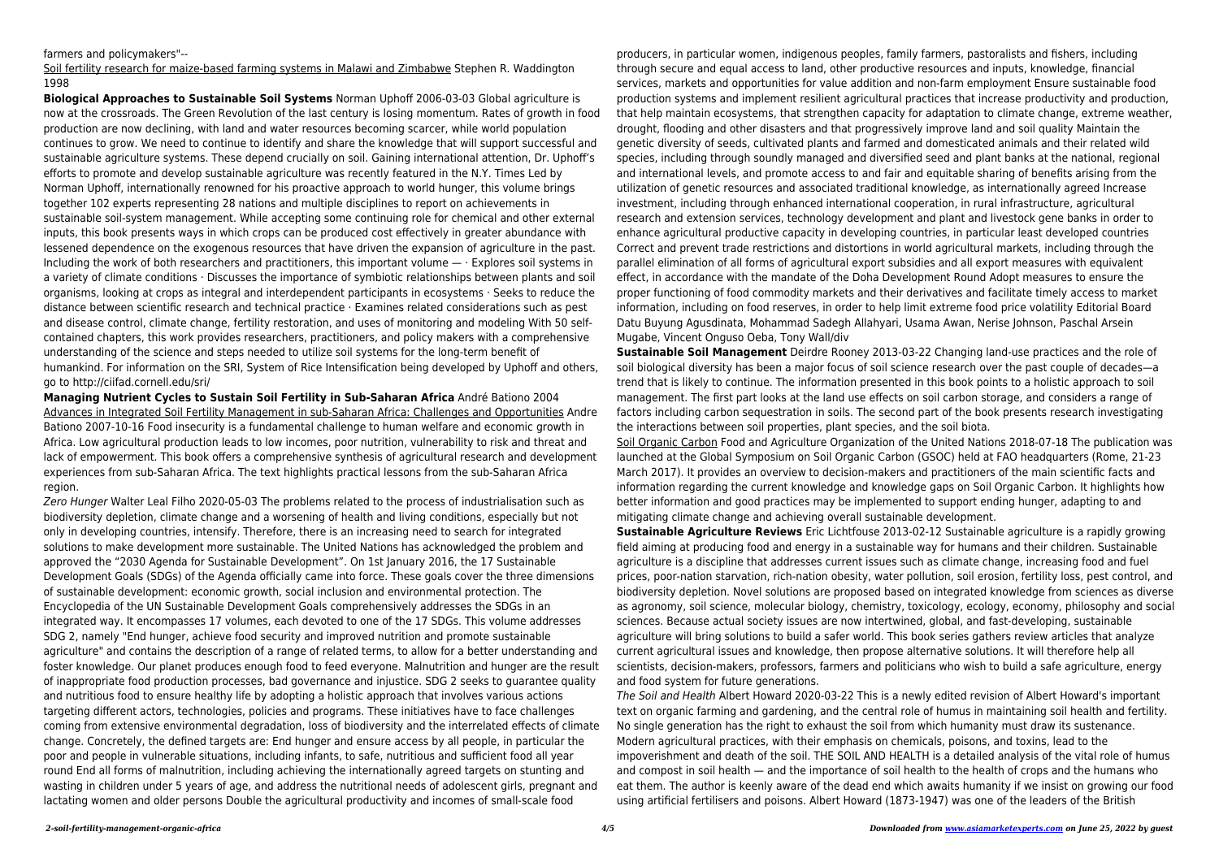# farmers and policymakers"--

Soil fertility research for maize-based farming systems in Malawi and Zimbabwe Stephen R. Waddington 1998

**Biological Approaches to Sustainable Soil Systems** Norman Uphoff 2006-03-03 Global agriculture is now at the crossroads. The Green Revolution of the last century is losing momentum. Rates of growth in food production are now declining, with land and water resources becoming scarcer, while world population continues to grow. We need to continue to identify and share the knowledge that will support successful and sustainable agriculture systems. These depend crucially on soil. Gaining international attention, Dr. Uphoff's efforts to promote and develop sustainable agriculture was recently featured in the N.Y. Times Led by Norman Uphoff, internationally renowned for his proactive approach to world hunger, this volume brings together 102 experts representing 28 nations and multiple disciplines to report on achievements in sustainable soil-system management. While accepting some continuing role for chemical and other external inputs, this book presents ways in which crops can be produced cost effectively in greater abundance with lessened dependence on the exogenous resources that have driven the expansion of agriculture in the past. Including the work of both researchers and practitioners, this important volume  $-$  · Explores soil systems in a variety of climate conditions · Discusses the importance of symbiotic relationships between plants and soil organisms, looking at crops as integral and interdependent participants in ecosystems · Seeks to reduce the distance between scientific research and technical practice · Examines related considerations such as pest and disease control, climate change, fertility restoration, and uses of monitoring and modeling With 50 selfcontained chapters, this work provides researchers, practitioners, and policy makers with a comprehensive understanding of the science and steps needed to utilize soil systems for the long-term benefit of humankind. For information on the SRI, System of Rice Intensification being developed by Uphoff and others, go to http://ciifad.cornell.edu/sri/

**Managing Nutrient Cycles to Sustain Soil Fertility in Sub-Saharan Africa** André Bationo 2004 Advances in Integrated Soil Fertility Management in sub-Saharan Africa: Challenges and Opportunities Andre Bationo 2007-10-16 Food insecurity is a fundamental challenge to human welfare and economic growth in Africa. Low agricultural production leads to low incomes, poor nutrition, vulnerability to risk and threat and lack of empowerment. This book offers a comprehensive synthesis of agricultural research and development experiences from sub-Saharan Africa. The text highlights practical lessons from the sub-Saharan Africa region.

Zero Hunger Walter Leal Filho 2020-05-03 The problems related to the process of industrialisation such as biodiversity depletion, climate change and a worsening of health and living conditions, especially but not only in developing countries, intensify. Therefore, there is an increasing need to search for integrated solutions to make development more sustainable. The United Nations has acknowledged the problem and approved the "2030 Agenda for Sustainable Development". On 1st January 2016, the 17 Sustainable Development Goals (SDGs) of the Agenda officially came into force. These goals cover the three dimensions of sustainable development: economic growth, social inclusion and environmental protection. The Encyclopedia of the UN Sustainable Development Goals comprehensively addresses the SDGs in an integrated way. It encompasses 17 volumes, each devoted to one of the 17 SDGs. This volume addresses SDG 2, namely "End hunger, achieve food security and improved nutrition and promote sustainable agriculture" and contains the description of a range of related terms, to allow for a better understanding and foster knowledge. Our planet produces enough food to feed everyone. Malnutrition and hunger are the result of inappropriate food production processes, bad governance and injustice. SDG 2 seeks to guarantee quality and nutritious food to ensure healthy life by adopting a holistic approach that involves various actions targeting different actors, technologies, policies and programs. These initiatives have to face challenges coming from extensive environmental degradation, loss of biodiversity and the interrelated effects of climate change. Concretely, the defined targets are: End hunger and ensure access by all people, in particular the poor and people in vulnerable situations, including infants, to safe, nutritious and sufficient food all year round End all forms of malnutrition, including achieving the internationally agreed targets on stunting and wasting in children under 5 years of age, and address the nutritional needs of adolescent girls, pregnant and lactating women and older persons Double the agricultural productivity and incomes of small-scale food

producers, in particular women, indigenous peoples, family farmers, pastoralists and fishers, including through secure and equal access to land, other productive resources and inputs, knowledge, financial services, markets and opportunities for value addition and non-farm employment Ensure sustainable food production systems and implement resilient agricultural practices that increase productivity and production, that help maintain ecosystems, that strengthen capacity for adaptation to climate change, extreme weather, drought, flooding and other disasters and that progressively improve land and soil quality Maintain the genetic diversity of seeds, cultivated plants and farmed and domesticated animals and their related wild species, including through soundly managed and diversified seed and plant banks at the national, regional and international levels, and promote access to and fair and equitable sharing of benefits arising from the utilization of genetic resources and associated traditional knowledge, as internationally agreed Increase investment, including through enhanced international cooperation, in rural infrastructure, agricultural research and extension services, technology development and plant and livestock gene banks in order to enhance agricultural productive capacity in developing countries, in particular least developed countries Correct and prevent trade restrictions and distortions in world agricultural markets, including through the parallel elimination of all forms of agricultural export subsidies and all export measures with equivalent effect, in accordance with the mandate of the Doha Development Round Adopt measures to ensure the proper functioning of food commodity markets and their derivatives and facilitate timely access to market information, including on food reserves, in order to help limit extreme food price volatility Editorial Board Datu Buyung Agusdinata, Mohammad Sadegh Allahyari, Usama Awan, Nerise Johnson, Paschal Arsein Mugabe, Vincent Onguso Oeba, Tony Wall/div

**Sustainable Soil Management** Deirdre Rooney 2013-03-22 Changing land-use practices and the role of soil biological diversity has been a major focus of soil science research over the past couple of decades—a trend that is likely to continue. The information presented in this book points to a holistic approach to soil management. The first part looks at the land use effects on soil carbon storage, and considers a range of factors including carbon sequestration in soils. The second part of the book presents research investigating the interactions between soil properties, plant species, and the soil biota. Soil Organic Carbon Food and Agriculture Organization of the United Nations 2018-07-18 The publication was launched at the Global Symposium on Soil Organic Carbon (GSOC) held at FAO headquarters (Rome, 21-23 March 2017). It provides an overview to decision-makers and practitioners of the main scientific facts and information regarding the current knowledge and knowledge gaps on Soil Organic Carbon. It highlights how better information and good practices may be implemented to support ending hunger, adapting to and mitigating climate change and achieving overall sustainable development. **Sustainable Agriculture Reviews** Eric Lichtfouse 2013-02-12 Sustainable agriculture is a rapidly growing field aiming at producing food and energy in a sustainable way for humans and their children. Sustainable agriculture is a discipline that addresses current issues such as climate change, increasing food and fuel prices, poor-nation starvation, rich-nation obesity, water pollution, soil erosion, fertility loss, pest control, and biodiversity depletion. Novel solutions are proposed based on integrated knowledge from sciences as diverse as agronomy, soil science, molecular biology, chemistry, toxicology, ecology, economy, philosophy and social sciences. Because actual society issues are now intertwined, global, and fast-developing, sustainable agriculture will bring solutions to build a safer world. This book series gathers review articles that analyze current agricultural issues and knowledge, then propose alternative solutions. It will therefore help all scientists, decision-makers, professors, farmers and politicians who wish to build a safe agriculture, energy and food system for future generations.

The Soil and Health Albert Howard 2020-03-22 This is a newly edited revision of Albert Howard's important text on organic farming and gardening, and the central role of humus in maintaining soil health and fertility. No single generation has the right to exhaust the soil from which humanity must draw its sustenance. Modern agricultural practices, with their emphasis on chemicals, poisons, and toxins, lead to the impoverishment and death of the soil. THE SOIL AND HEALTH is a detailed analysis of the vital role of humus and compost in soil health — and the importance of soil health to the health of crops and the humans who eat them. The author is keenly aware of the dead end which awaits humanity if we insist on growing our food using artificial fertilisers and poisons. Albert Howard (1873-1947) was one of the leaders of the British